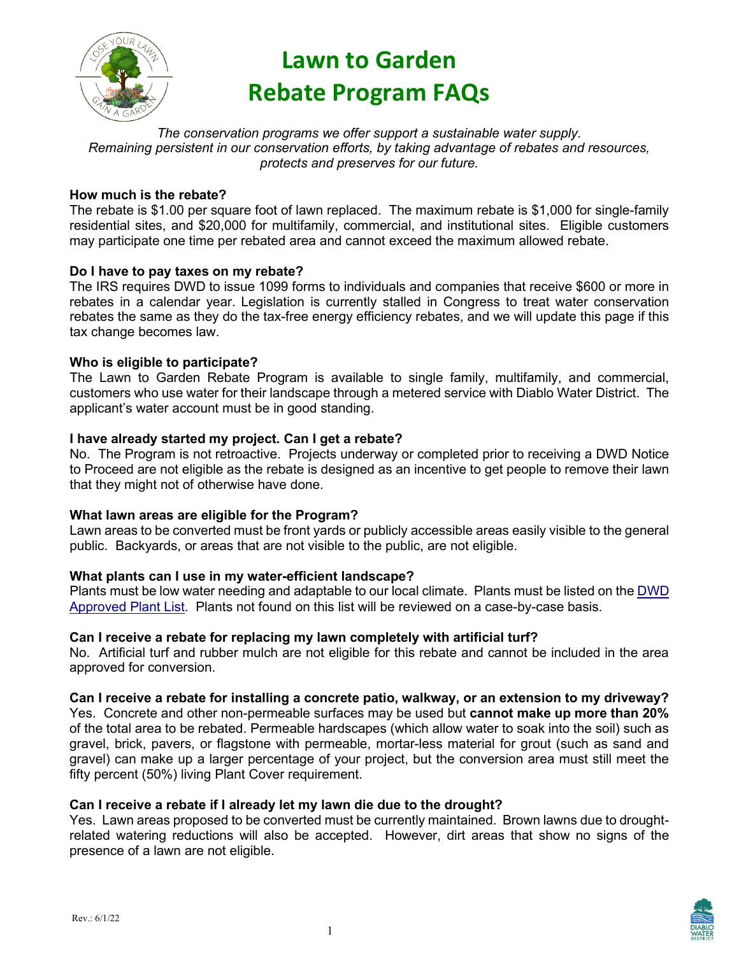

# **Lawn to Garden Rebate Program FAQs**

*The conservation programs we offer support a sustainable water supply. Remaining persistent in our conservation efforts, by taking advantage of rebates and resources, protects and preserves for our future.*

# **How much is the rebate?**

The rebate is \$1.00 per square foot of lawn replaced. The maximum rebate is \$1,000 for single-family residential sites, and \$20,000 for multifamily, commercial, and institutional sites. Eligible customers may participate one time per rebated area and cannot exceed the maximum allowed rebate.

## **Do I have to pay taxes on my rebate?**

The IRS requires DWD to issue 1099 forms to individuals and companies that receive \$600 or more in rebates in a calendar year. Legislation is currently stalled in Congress to treat water conservation rebates the same as they do the tax-free energy efficiency rebates, and we will update this page if this tax change becomes law.

## **Who is eligible to participate?**

The Lawn to Garden Rebate Program is available to single family, multifamily, and commercial, customers who use water for their landscape through a metered service with Diablo Water District. The applicant's water account must be in good standing.

## **I have already started my project. Can I get a rebate?**

No. The Program is not retroactive. Projects underway or completed prior to receiving a DWD Notice to Proceed are not eligible as the rebate is designed as an incentive to get people to remove their lawn that they might not of otherwise have done.

## **What lawn areas are eligible for the Program?**

Lawn areas to be converted must be front yards or publicly accessible areas easily visible to the general public. Backyards, or areas that are not visible to the public, are not eligible.

## **What plants can I use in my water-efficient landscape?**

Plants must be low water needing and adaptable to our local climate. Plants must be listed on the [DWD](https://diablowater.org/doc/4174/)  [Approved Plant List.](https://diablowater.org/doc/4174/) Plants not found on this list will be reviewed on a case-by-case basis.

## **Can I receive a rebate for replacing my lawn completely with artificial turf?**

No. Artificial turf and rubber mulch are not eligible for this rebate and cannot be included in the area approved for conversion.

**Can I receive a rebate for installing a concrete patio, walkway, or an extension to my driveway?**

Yes. Concrete and other non-permeable surfaces may be used but **cannot make up more than 20%**  of the total area to be rebated. Permeable hardscapes (which allow water to soak into the soil) such as gravel, brick, pavers, or flagstone with permeable, mortar-less material for grout (such as sand and gravel) can make up a larger percentage of your project, but the conversion area must still meet the fifty percent (50%) living Plant Cover requirement.

# **Can I receive a rebate if I already let my lawn die due to the drought?**

Yes. Lawn areas proposed to be converted must be currently maintained. Brown lawns due to droughtrelated watering reductions will also be accepted. However, dirt areas that show no signs of the presence of a lawn are not eligible.